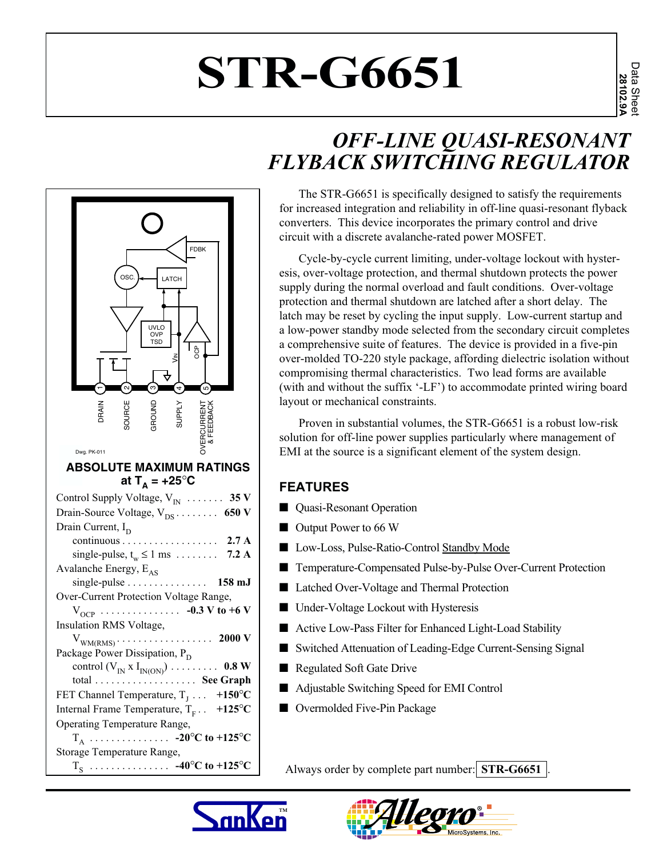# **STR-G6651**

## *OFF-LINE QUASI-RESONANT FLYBACK SWITCHING REGULATOR*

The STR-G6651 is specifically designed to satisfy the requirements for increased integration and reliability in off-line quasi-resonant flyback converters. This device incorporates the primary control and drive circuit with a discrete avalanche-rated power MOSFET.

Cycle-by-cycle current limiting, under-voltage lockout with hysteresis, over-voltage protection, and thermal shutdown protects the power supply during the normal overload and fault conditions. Over-voltage protection and thermal shutdown are latched after a short delay. The latch may be reset by cycling the input supply. Low-current startup and a low-power standby mode selected from the secondary circuit completes a comprehensive suite of features. The device is provided in a five-pin over-molded TO-220 style package, affording dielectric isolation without compromising thermal characteristics. Two lead forms are available (with and without the suffix '-LF') to accommodate printed wiring board layout or mechanical constraints.

Proven in substantial volumes, the STR-G6651 is a robust low-risk solution for off-line power supplies particularly where management of EMI at the source is a significant element of the system design.

#### **FEATURES**

- Quasi-Resonant Operation
- Output Power to 66 W
- Low-Loss, Pulse-Ratio-Control Standby Mode
- Temperature-Compensated Pulse-by-Pulse Over-Current Protection
- Latched Over-Voltage and Thermal Protection
- Under-Voltage Lockout with Hysteresis
- Active Low-Pass Filter for Enhanced Light-Load Stability
- Switched Attenuation of Leading-Edge Current-Sensing Signal
- Regulated Soft Gate Drive
- Adjustable Switching Speed for EMI Control
- Overmolded Five-Pin Package

Always order by complete part number: **STR-G6651**.





่

ო

UVLO OVP TSD

 $\circ$ SC.  $\rightarrow$  LATCH

 $\mathbf -$ 

 $\tilde{\mathbf{y}}$ 

4

ഹ

OCP

FDBK

|                                              | <b>SOURCE</b> |                           | <b>ATHELIS</b> |                                                                   |
|----------------------------------------------|---------------|---------------------------|----------------|-------------------------------------------------------------------|
| Dwg. PK-011                                  |               |                           |                |                                                                   |
|                                              |               |                           |                | <b>ABSOLUTE MAXIMUM RATINGS</b>                                   |
|                                              |               | at T <sub>^</sub> = +25°C |                |                                                                   |
| Control Supply Voltage, $V_{IN}$ 35 V        |               |                           |                |                                                                   |
| Drain-Source Voltage, $V_{DS}$ 650 V         |               |                           |                |                                                                   |
| Drain Current, $I_D$                         |               |                           |                |                                                                   |
|                                              |               |                           |                | continuous 2.7 A                                                  |
|                                              |               |                           |                | single-pulse, $t_w \le 1$ ms  7.2 A                               |
| Avalanche Energy, $E_{AS}$                   |               |                           |                |                                                                   |
|                                              |               |                           |                | single-pulse 158 mJ                                               |
| Over-Current Protection Voltage Range,       |               |                           |                |                                                                   |
|                                              |               |                           |                | $V_{OCP}$ -0.3 V to +6 V                                          |
| Insulation RMS Voltage,                      |               |                           |                |                                                                   |
|                                              |               |                           |                |                                                                   |
| Package Power Dissipation, P <sub>D</sub>    |               |                           |                |                                                                   |
|                                              |               |                           |                | control $(V_{IN} X I_{IN(ON)}) \ldots \ldots \ldots \ldots$ 0.8 W |
|                                              |               |                           |                | total  See Graph                                                  |
| FET Channel Temperature, $T_1 \ldots$ +150°C |               |                           |                |                                                                   |
| Internal Frame Temperature, $T_F$ . +125°C   |               |                           |                |                                                                   |
| Operating Temperature Range,                 |               |                           |                |                                                                   |
|                                              |               |                           |                | $T_A$ -20°C to +125°C                                             |
| Storage Temperature Range,                   |               |                           |                |                                                                   |
|                                              |               |                           |                | $T_S$ -40°C to +125°C                                             |
|                                              |               |                           |                |                                                                   |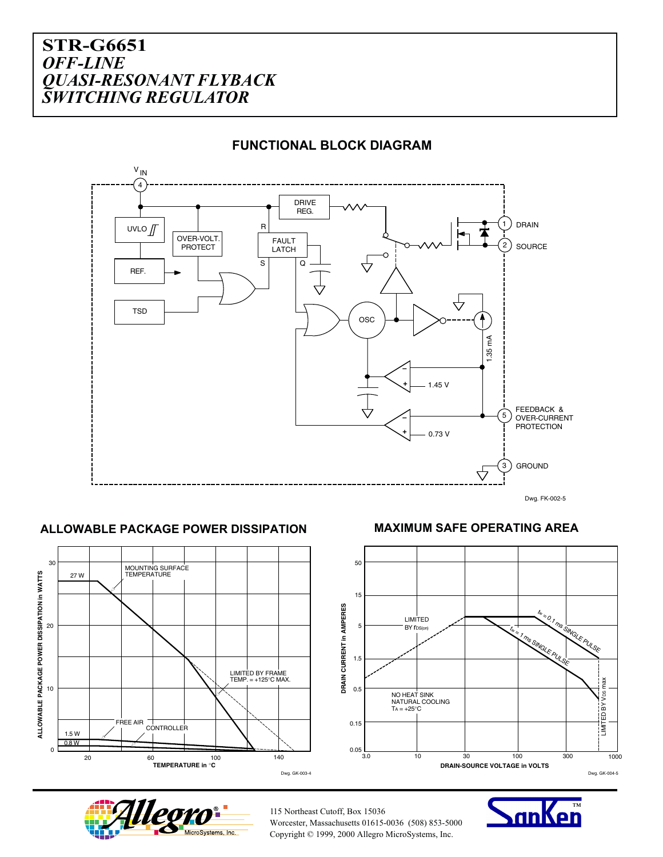

#### **FUNCTIONAL BLOCK DIAGRAM**

#### **ALLOWABLE PACKAGE POWER DISSIPATION MAXIMUM SAFE OPERATING AREA**







115 Northeast Cutoff, Box 15036 Worcester, Massachusetts 01615-0036 (508) 853-5000 Copyright © 1999, 2000 Allegro MicroSystems, Inc.

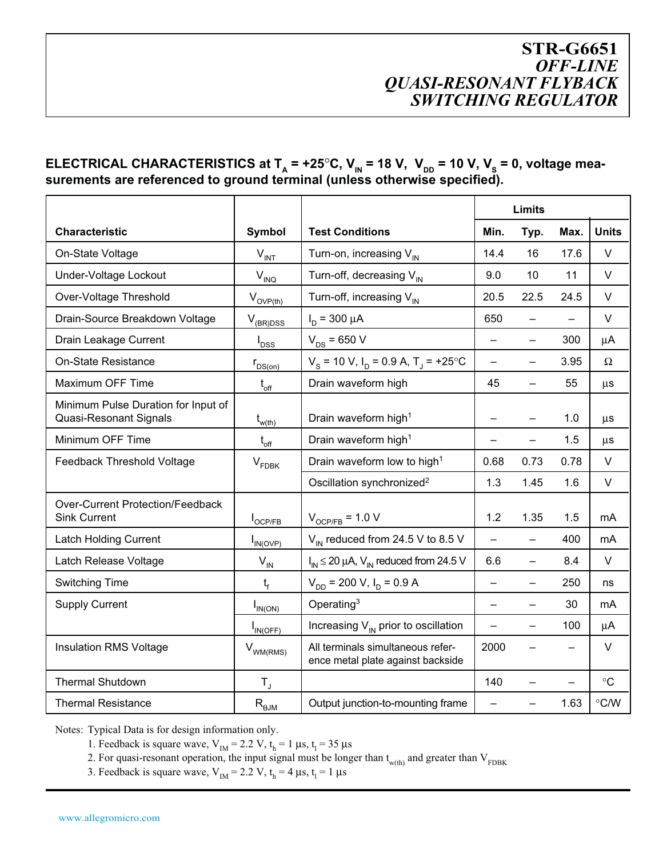#### ELECTRICAL CHARACTERISTICS at  $T_A = +25^\circ C$ ,  $V_{IN} = 18$  V,  $V_{DD} = 10$  V,  $V_s = 0$ , voltage mea**surements are referenced to ground terminal (unless otherwise specified).**

|                                                                      |                             | <b>Limits</b>                                                          |                          |                          |                          |               |
|----------------------------------------------------------------------|-----------------------------|------------------------------------------------------------------------|--------------------------|--------------------------|--------------------------|---------------|
| <b>Characteristic</b>                                                | <b>Symbol</b>               | <b>Test Conditions</b>                                                 | Min.                     | Typ.                     | Max.                     | <b>Units</b>  |
| On-State Voltage                                                     | $V_{INT}$                   | Turn-on, increasing $V_{IN}$                                           | 14.4                     | 16                       | 17.6                     | V             |
| Under-Voltage Lockout                                                | $V_{\text{INQ}}$            | Turn-off, decreasing $V_{IN}$                                          | 9.0                      | 10                       | 11                       | V             |
| Over-Voltage Threshold                                               | $V_{\text{OVP}(\text{th})}$ | Turn-off, increasing $V_{IN}$                                          | 20.5                     | 22.5                     | 24.5                     | V             |
| Drain-Source Breakdown Voltage                                       | $V_{(BR)DSS}$               | $I_D = 300 \mu A$                                                      | 650                      |                          |                          | $\vee$        |
| Drain Leakage Current                                                | $I_{DSS}$                   | $V_{DS} = 650 V$                                                       |                          |                          | 300                      | $\mu$ A       |
| <b>On-State Resistance</b>                                           | $r_{DS(on)}$                | $V_s$ = 10 V, I <sub>D</sub> = 0.9 A, T <sub>J</sub> = +25 °C          | $\equiv$                 | -                        | 3.95                     | Ω             |
| Maximum OFF Time                                                     | $t_{\text{off}}$            | Drain waveform high                                                    | 45                       | $\overline{\phantom{0}}$ | 55                       | $\mu s$       |
| Minimum Pulse Duration for Input of<br><b>Quasi-Resonant Signals</b> | $t_{w(th)}$                 | Drain waveform high <sup>1</sup>                                       |                          |                          | 1.0                      | $\mu s$       |
| Minimum OFF Time                                                     | $t_{\rm off}$               | Drain waveform high <sup>1</sup>                                       | -                        | -                        | 1.5                      | $\mu s$       |
| Feedback Threshold Voltage                                           | $V_{FDBK}$                  | Drain waveform low to high <sup>1</sup>                                | 0.68                     | 0.73                     | 0.78                     | V             |
|                                                                      |                             | Oscillation synchronized <sup>2</sup>                                  | 1.3                      | 1.45                     | 1.6                      | V             |
| <b>Over-Current Protection/Feedback</b><br><b>Sink Current</b>       | I <sub>OCP/FB</sub>         | $V_{OCP/FB}$ = 1.0 V                                                   | 1.2                      | 1.35                     | 1.5                      | mA            |
| <b>Latch Holding Current</b>                                         | $I_{IN(OVP)}$               | $V_{\text{IN}}$ reduced from 24.5 V to 8.5 V                           | $=$                      |                          | 400                      | mA            |
| Latch Release Voltage                                                | $\mathsf{V}_{\mathsf{IN}}$  | $I_{IN} \le 20 \mu A$ , $V_{IN}$ reduced from 24.5 V                   | 6.6                      | $\overline{\phantom{0}}$ | 8.4                      | $\vee$        |
| <b>Switching Time</b>                                                | $t_f$                       | $V_{DD}$ = 200 V, I <sub>D</sub> = 0.9 A                               | $\overline{\phantom{0}}$ |                          | 250                      | ns            |
| <b>Supply Current</b>                                                | $I_{IN(ON)}$                | Operating $3$                                                          | $\overline{\phantom{0}}$ | $\overline{\phantom{0}}$ | 30                       | mA            |
|                                                                      | $I_{IN(OFF)}$               | Increasing $V_{\text{IN}}$ prior to oscillation                        | $\equiv$                 | -                        | 100                      | μA            |
| Insulation RMS Voltage                                               | $V_{WM(RMS)}$               | All terminals simultaneous refer-<br>ence metal plate against backside | 2000                     |                          |                          | V             |
| <b>Thermal Shutdown</b>                                              | $\mathsf{T}_\mathsf{J}$     |                                                                        | 140                      | —                        | $\overline{\phantom{0}}$ | $\circ$ C     |
| <b>Thermal Resistance</b>                                            | $R_{\theta JM}$             | Output junction-to-mounting frame                                      |                          |                          | 1.63                     | $\degree$ C/W |

Notes: Typical Data is for design information only.

1. Feedback is square wave,  $V_{IM} = 2.2 V$ ,  $t_h = 1 \mu s$ ,  $t_l = 35 \mu s$ 

2. For quasi-resonant operation, the input signal must be longer than  $t_{w(th)}$  and greater than  $V_{FDBK}$ 

3. Feedback is square wave,  $V_{IM} = 2.2 V$ ,  $t_h = 4 \mu s$ ,  $t_l = 1 \mu s$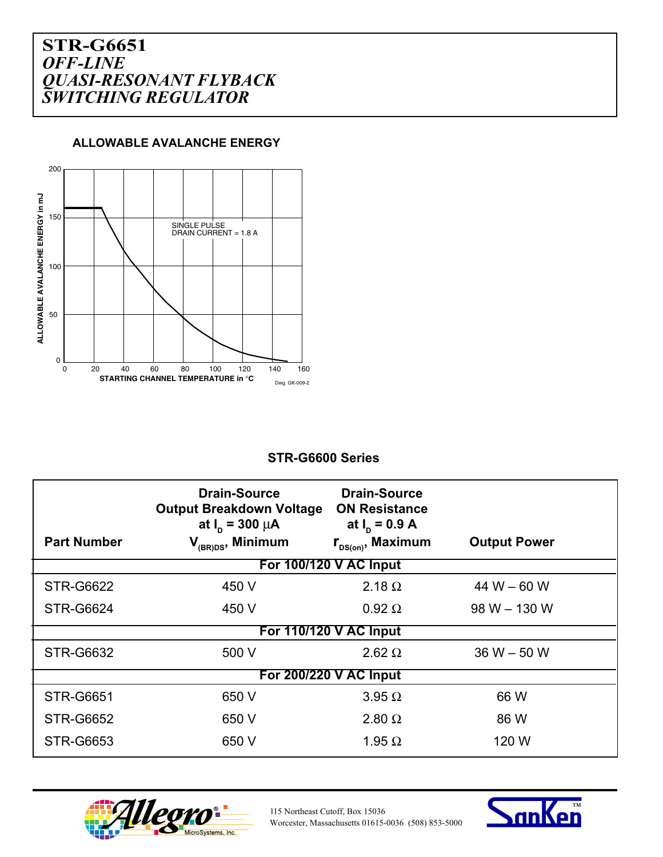**ALLOWABLE AVALANCHE ENERGY**



#### **STR-G6600 Series**

|                        | <b>Drain-Source</b><br><b>Output Breakdown Voltage</b><br>at $I_n = 300 \mu A$ | <b>Drain-Source</b><br><b>ON Resistance</b><br>at $I_n = 0.9 A$ |                     |  |  |  |  |
|------------------------|--------------------------------------------------------------------------------|-----------------------------------------------------------------|---------------------|--|--|--|--|
| <b>Part Number</b>     | V <sub>(BR)DS</sub> , Minimum                                                  | $r_{\text{DS}(on)}$ , Maximum                                   | <b>Output Power</b> |  |  |  |  |
| For 100/120 V AC Input |                                                                                |                                                                 |                     |  |  |  |  |
| <b>STR-G6622</b>       | 450 V                                                                          | 2.18 $\Omega$                                                   | 44 W $-60$ W        |  |  |  |  |
| <b>STR-G6624</b>       | 450 V                                                                          | $0.92 \Omega$                                                   | $98 W - 130 W$      |  |  |  |  |
| For 110/120 V AC Input |                                                                                |                                                                 |                     |  |  |  |  |
| <b>STR-G6632</b>       | 500 V                                                                          | $2.62 \Omega$                                                   | $36 W - 50 W$       |  |  |  |  |
| For 200/220 V AC Input |                                                                                |                                                                 |                     |  |  |  |  |
| <b>STR-G6651</b>       | 650 V                                                                          | $3.95 \Omega$                                                   | 66 W                |  |  |  |  |
| <b>STR-G6652</b>       | 650 V                                                                          | $2.80 \Omega$                                                   | 86 W                |  |  |  |  |
| <b>STR-G6653</b>       | 650 V                                                                          | 1.95 $\Omega$                                                   | 120 W               |  |  |  |  |



115 Northeast Cutoff, Box 15036 Worcester, Massachusetts 01615-0036 (508) 853-5000

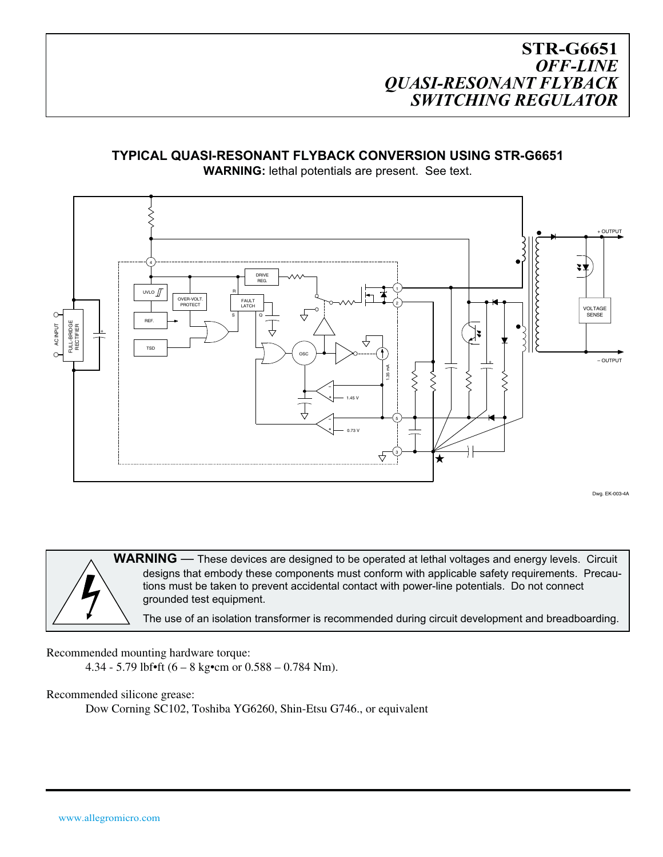#### **TYPICAL QUASI-RESONANT FLYBACK CONVERSION USING STR-G6651**



**WARNING:** lethal potentials are present. See text.

Dwg. EK-003-4A

WARNING — These devices are designed to be operated at lethal voltages and energy levels. Circuit designs that embody these components must conform with applicable safety requirements. Precautions must be taken to prevent accidental contact with power-line potentials. Do not connect grounded test equipment.

The use of an isolation transformer is recommended during circuit development and breadboarding.

Recommended mounting hardware torque:

4.34 - 5.79 lbf•ft (6 – 8 kg•cm or  $0.588 - 0.784$  Nm).

Recommended silicone grease:

Dow Corning SC102, Toshiba YG6260, Shin-Etsu G746., or equivalent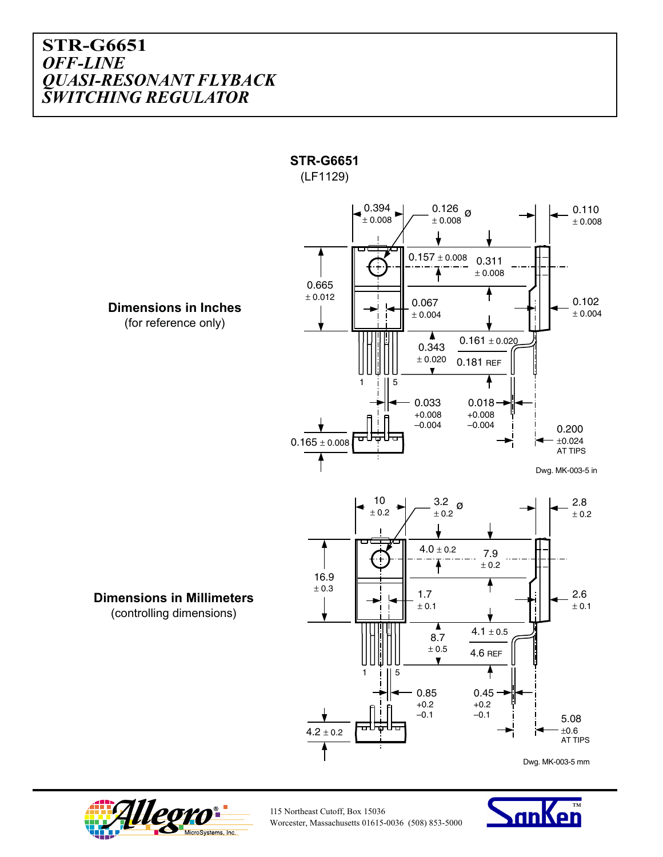



115 Northeast Cutoff, Box 15036 Worcester, Massachusetts 01615-0036 (508) 853-5000

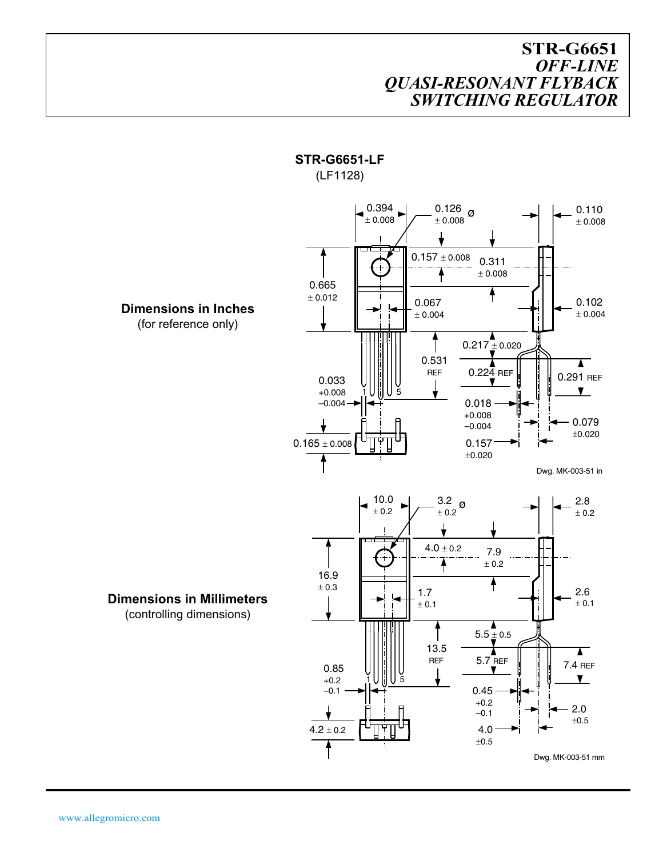